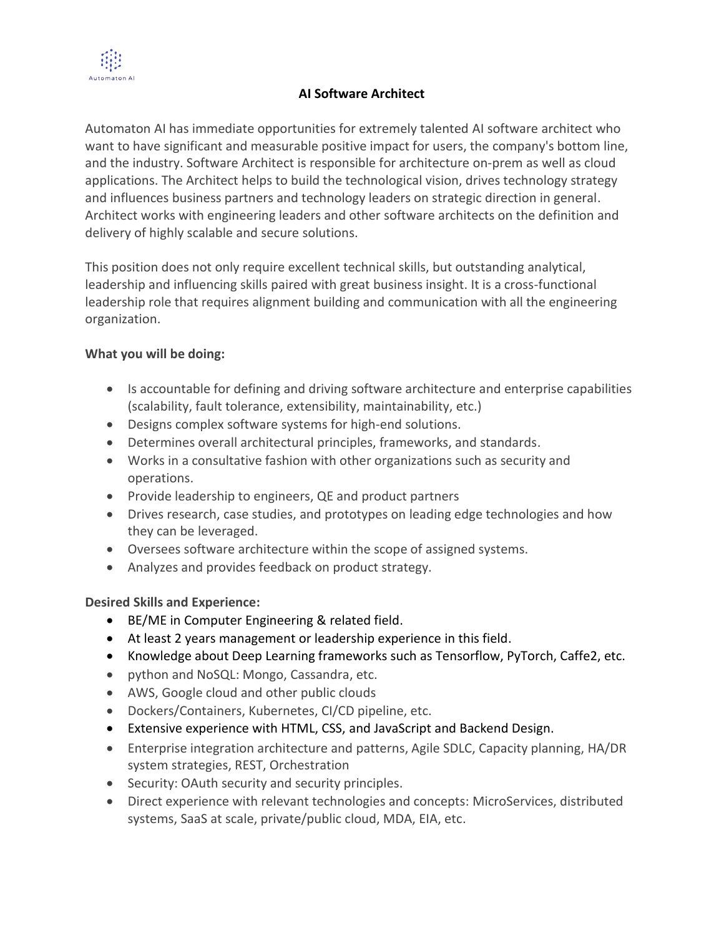

## **AI Software Architect**

Automaton AI has immediate opportunities for extremely talented AI software architect who want to have significant and measurable positive impact for users, the company's bottom line, and the industry. Software Architect is responsible for architecture on-prem as well as cloud applications. The Architect helps to build the technological vision, drives technology strategy and influences business partners and technology leaders on strategic direction in general. Architect works with engineering leaders and other software architects on the definition and delivery of highly scalable and secure solutions.

This position does not only require excellent technical skills, but outstanding analytical, leadership and influencing skills paired with great business insight. It is a cross-functional leadership role that requires alignment building and communication with all the engineering organization.

## **What you will be doing:**

- Is accountable for defining and driving software architecture and enterprise capabilities (scalability, fault tolerance, extensibility, maintainability, etc.)
- Designs complex software systems for high-end solutions.
- Determines overall architectural principles, frameworks, and standards.
- Works in a consultative fashion with other organizations such as security and operations.
- Provide leadership to engineers, QE and product partners
- Drives research, case studies, and prototypes on leading edge technologies and how they can be leveraged.
- Oversees software architecture within the scope of assigned systems.
- Analyzes and provides feedback on product strategy.

## **Desired Skills and Experience:**

- BE/ME in Computer Engineering & related field.
- At least 2 years management or leadership experience in this field.
- Knowledge about Deep Learning frameworks such as Tensorflow, PyTorch, Caffe2, etc.
- python and NoSQL: Mongo, Cassandra, etc.
- AWS, Google cloud and other public clouds
- Dockers/Containers, Kubernetes, CI/CD pipeline, etc.
- Extensive experience with HTML, CSS, and JavaScript and Backend Design.
- Enterprise integration architecture and patterns, Agile SDLC, Capacity planning, HA/DR system strategies, REST, Orchestration
- Security: OAuth security and security principles.
- Direct experience with relevant technologies and concepts: MicroServices, distributed systems, SaaS at scale, private/public cloud, MDA, EIA, etc.